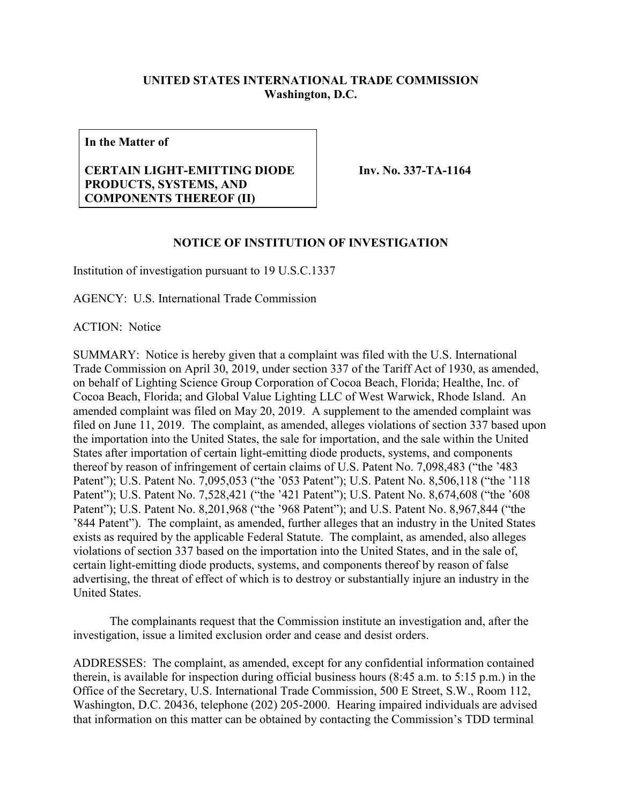## **UNITED STATES INTERNATIONAL TRADE COMMISSION Washington, D.C.**

**In the Matter of**

## **CERTAIN LIGHT-EMITTING DIODE PRODUCTS, SYSTEMS, AND COMPONENTS THEREOF (II)**

**Inv. No. 337-TA-1164**

## **NOTICE OF INSTITUTION OF INVESTIGATION**

Institution of investigation pursuant to 19 U.S.C.1337

AGENCY: U.S. International Trade Commission

ACTION: Notice

SUMMARY: Notice is hereby given that a complaint was filed with the U.S. International Trade Commission on April 30, 2019, under section 337 of the Tariff Act of 1930, as amended, on behalf of Lighting Science Group Corporation of Cocoa Beach, Florida; Healthe, Inc. of Cocoa Beach, Florida; and Global Value Lighting LLC of West Warwick, Rhode Island. An amended complaint was filed on May 20, 2019. A supplement to the amended complaint was filed on June 11, 2019. The complaint, as amended, alleges violations of section 337 based upon the importation into the United States, the sale for importation, and the sale within the United States after importation of certain light-emitting diode products, systems, and components thereof by reason of infringement of certain claims of U.S. Patent No. 7,098,483 ("the '483 Patent"); U.S. Patent No. 7,095,053 ("the '053 Patent"); U.S. Patent No. 8,506,118 ("the '118 Patent"); U.S. Patent No. 7,528,421 ("the '421 Patent"); U.S. Patent No. 8,674,608 ("the '608 Patent"); U.S. Patent No. 8,201,968 ("the '968 Patent"); and U.S. Patent No. 8,967,844 ("the '844 Patent"). The complaint, as amended, further alleges that an industry in the United States exists as required by the applicable Federal Statute. The complaint, as amended, also alleges violations of section 337 based on the importation into the United States, and in the sale of, certain light-emitting diode products, systems, and components thereof by reason of false advertising, the threat of effect of which is to destroy or substantially injure an industry in the United States.

The complainants request that the Commission institute an investigation and, after the investigation, issue a limited exclusion order and cease and desist orders.

ADDRESSES: The complaint, as amended, except for any confidential information contained therein, is available for inspection during official business hours (8:45 a.m. to 5:15 p.m.) in the Office of the Secretary, U.S. International Trade Commission, 500 E Street, S.W., Room 112, Washington, D.C. 20436, telephone (202) 205-2000. Hearing impaired individuals are advised that information on this matter can be obtained by contacting the Commission's TDD terminal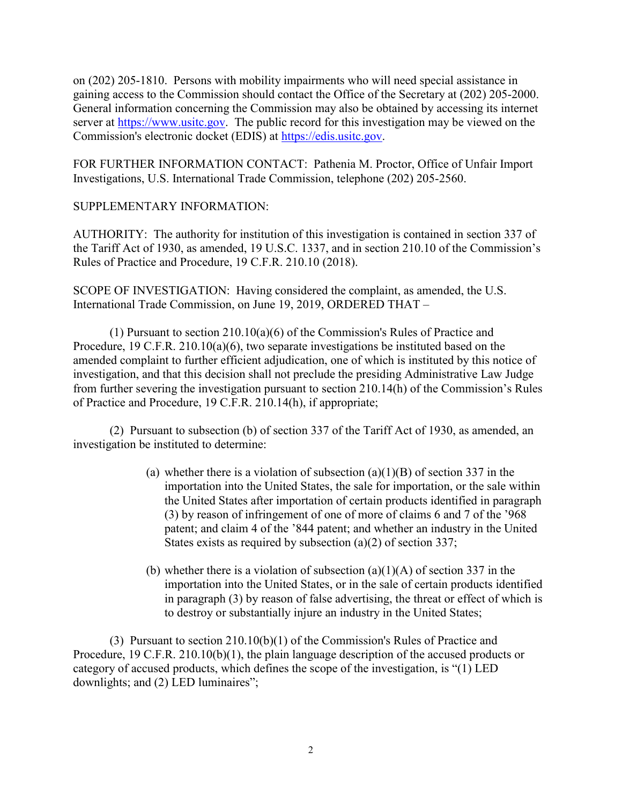on (202) 205-1810. Persons with mobility impairments who will need special assistance in gaining access to the Commission should contact the Office of the Secretary at (202) 205-2000. General information concerning the Commission may also be obtained by accessing its internet server at [https://www.usitc.gov.](https://www.usitc.gov/) The public record for this investigation may be viewed on the Commission's electronic docket (EDIS) at [https://edis.usitc.gov.](https://edis.usitc.gov/)

FOR FURTHER INFORMATION CONTACT: Pathenia M. Proctor, Office of Unfair Import Investigations, U.S. International Trade Commission, telephone (202) 205-2560.

## SUPPLEMENTARY INFORMATION:

AUTHORITY: The authority for institution of this investigation is contained in section 337 of the Tariff Act of 1930, as amended, 19 U.S.C. 1337, and in section 210.10 of the Commission's Rules of Practice and Procedure, 19 C.F.R. 210.10 (2018).

SCOPE OF INVESTIGATION: Having considered the complaint, as amended, the U.S. International Trade Commission, on June 19, 2019, ORDERED THAT –

(1) Pursuant to section 210.10(a)(6) of the Commission's Rules of Practice and Procedure, 19 C.F.R. 210.10(a)(6), two separate investigations be instituted based on the amended complaint to further efficient adjudication, one of which is instituted by this notice of investigation, and that this decision shall not preclude the presiding Administrative Law Judge from further severing the investigation pursuant to section 210.14(h) of the Commission's Rules of Practice and Procedure, 19 C.F.R. 210.14(h), if appropriate;

(2) Pursuant to subsection (b) of section 337 of the Tariff Act of 1930, as amended, an investigation be instituted to determine:

- (a) whether there is a violation of subsection  $(a)(1)(B)$  of section 337 in the importation into the United States, the sale for importation, or the sale within the United States after importation of certain products identified in paragraph (3) by reason of infringement of one of more of claims 6 and 7 of the '968 patent; and claim 4 of the '844 patent; and whether an industry in the United States exists as required by subsection (a)(2) of section 337;
- (b) whether there is a violation of subsection  $(a)(1)(A)$  of section 337 in the importation into the United States, or in the sale of certain products identified in paragraph (3) by reason of false advertising, the threat or effect of which is to destroy or substantially injure an industry in the United States;

(3) Pursuant to section 210.10(b)(1) of the Commission's Rules of Practice and Procedure, 19 C.F.R. 210.10(b)(1), the plain language description of the accused products or category of accused products, which defines the scope of the investigation, is "(1) LED downlights; and (2) LED luminaires";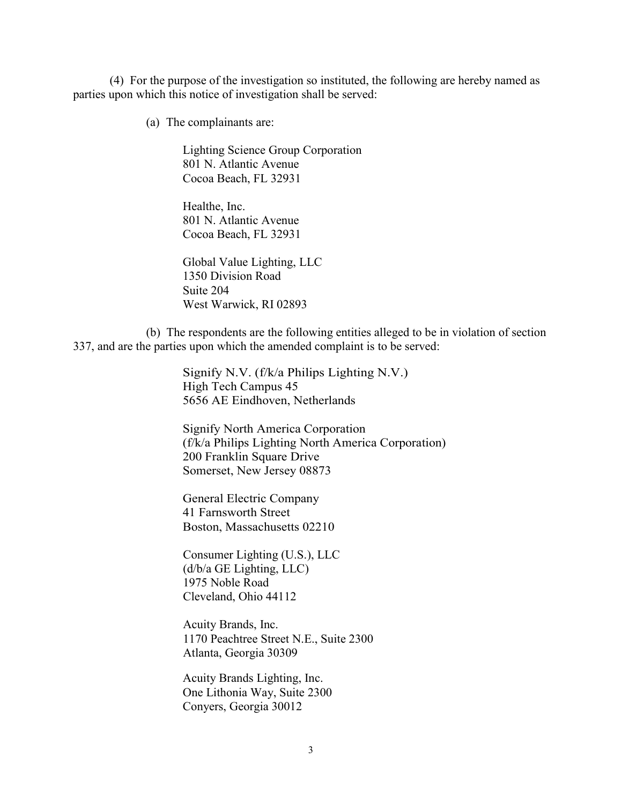(4) For the purpose of the investigation so instituted, the following are hereby named as parties upon which this notice of investigation shall be served:

(a) The complainants are:

Lighting Science Group Corporation 801 N. Atlantic Avenue Cocoa Beach, FL 32931

Healthe, Inc. 801 N. Atlantic Avenue Cocoa Beach, FL 32931

Global Value Lighting, LLC 1350 Division Road Suite 204 West Warwick, RI 02893

(b) The respondents are the following entities alleged to be in violation of section 337, and are the parties upon which the amended complaint is to be served:

> Signify N.V. (f/k/a Philips Lighting N.V.) High Tech Campus 45 5656 AE Eindhoven, Netherlands

Signify North America Corporation (f/k/a Philips Lighting North America Corporation) 200 Franklin Square Drive Somerset, New Jersey 08873

General Electric Company 41 Farnsworth Street Boston, Massachusetts 02210

Consumer Lighting (U.S.), LLC (d/b/a GE Lighting, LLC) 1975 Noble Road Cleveland, Ohio 44112

Acuity Brands, Inc. 1170 Peachtree Street N.E., Suite 2300 Atlanta, Georgia 30309

Acuity Brands Lighting, Inc. One Lithonia Way, Suite 2300 Conyers, Georgia 30012